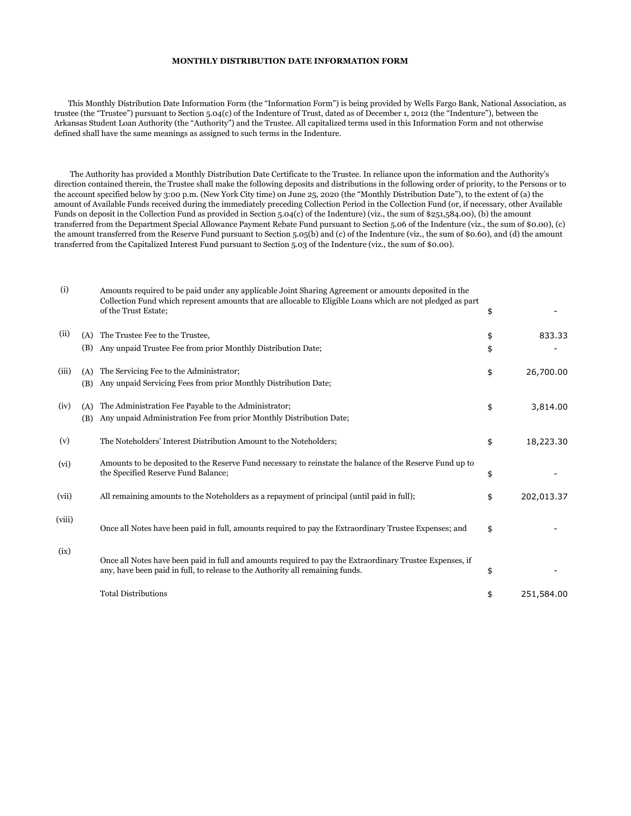## **MONTHLY DISTRIBUTION DATE INFORMATION FORM**

 This Monthly Distribution Date Information Form (the "Information Form") is being provided by Wells Fargo Bank, National Association, as trustee (the "Trustee") pursuant to Section 5.04(c) of the Indenture of Trust, dated as of December 1, 2012 (the "Indenture"), between the Arkansas Student Loan Authority (the "Authority") and the Trustee. All capitalized terms used in this Information Form and not otherwise defined shall have the same meanings as assigned to such terms in the Indenture.

 The Authority has provided a Monthly Distribution Date Certificate to the Trustee. In reliance upon the information and the Authority's direction contained therein, the Trustee shall make the following deposits and distributions in the following order of priority, to the Persons or to the account specified below by 3:00 p.m. (New York City time) on June 25, 2020 (the "Monthly Distribution Date"), to the extent of (a) the amount of Available Funds received during the immediately preceding Collection Period in the Collection Fund (or, if necessary, other Available Funds on deposit in the Collection Fund as provided in Section 5.04(c) of the Indenture) (viz., the sum of \$251,584.00), (b) the amount transferred from the Department Special Allowance Payment Rebate Fund pursuant to Section 5.06 of the Indenture (viz., the sum of \$0.00), (c) the amount transferred from the Reserve Fund pursuant to Section 5.05(b) and (c) of the Indenture (viz., the sum of \$0.60), and (d) the amount transferred from the Capitalized Interest Fund pursuant to Section 5.03 of the Indenture (viz., the sum of \$0.00).

| (i)    |            | Amounts required to be paid under any applicable Joint Sharing Agreement or amounts deposited in the<br>Collection Fund which represent amounts that are allocable to Eligible Loans which are not pledged as part<br>of the Trust Estate; | \$       |            |
|--------|------------|--------------------------------------------------------------------------------------------------------------------------------------------------------------------------------------------------------------------------------------------|----------|------------|
| (ii)   | (A)<br>(B) | The Trustee Fee to the Trustee,<br>Any unpaid Trustee Fee from prior Monthly Distribution Date;                                                                                                                                            | \$<br>\$ | 833.33     |
| (iii)  | (A)<br>(B) | The Servicing Fee to the Administrator;<br>Any unpaid Servicing Fees from prior Monthly Distribution Date;                                                                                                                                 | \$       | 26,700.00  |
| (iv)   | (A)<br>(B) | The Administration Fee Payable to the Administrator;<br>Any unpaid Administration Fee from prior Monthly Distribution Date;                                                                                                                | \$       | 3,814.00   |
| (v)    |            | The Noteholders' Interest Distribution Amount to the Noteholders;                                                                                                                                                                          | \$       | 18,223.30  |
| (vi)   |            | Amounts to be deposited to the Reserve Fund necessary to reinstate the balance of the Reserve Fund up to<br>the Specified Reserve Fund Balance;                                                                                            | \$       |            |
| (vii)  |            | All remaining amounts to the Noteholders as a repayment of principal (until paid in full);                                                                                                                                                 | \$       | 202,013.37 |
| (viii) |            | Once all Notes have been paid in full, amounts required to pay the Extraordinary Trustee Expenses; and                                                                                                                                     | \$       |            |
| (ix)   |            | Once all Notes have been paid in full and amounts required to pay the Extraordinary Trustee Expenses, if<br>any, have been paid in full, to release to the Authority all remaining funds.                                                  | \$       |            |
|        |            | <b>Total Distributions</b>                                                                                                                                                                                                                 | \$       | 251,584.00 |